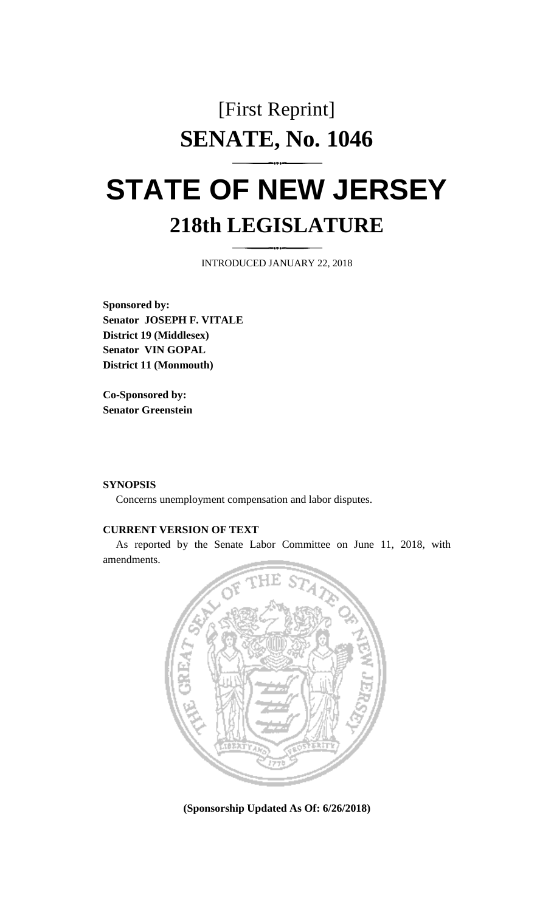## [First Reprint] **SENATE, No. 1046**

# **STATE OF NEW JERSEY 218th LEGISLATURE**

INTRODUCED JANUARY 22, 2018

**Sponsored by: Senator JOSEPH F. VITALE District 19 (Middlesex) Senator VIN GOPAL District 11 (Monmouth)**

**Co-Sponsored by: Senator Greenstein**

#### **SYNOPSIS**

Concerns unemployment compensation and labor disputes.

#### **CURRENT VERSION OF TEXT**

As reported by the Senate Labor Committee on June 11, 2018, with amendments.



**(Sponsorship Updated As Of: 6/26/2018)**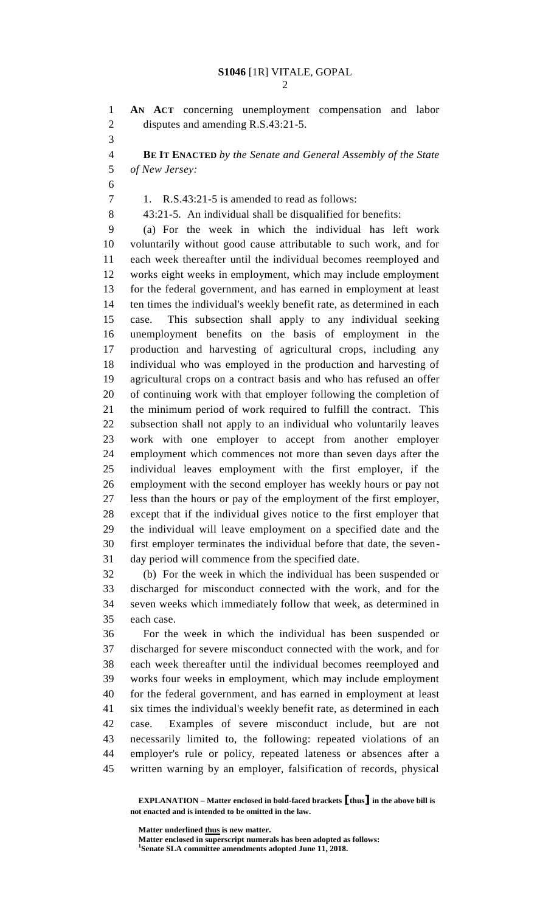**AN ACT** concerning unemployment compensation and labor disputes and amending R.S.43:21-5. **BE IT ENACTED** *by the Senate and General Assembly of the State of New Jersey:* 1. R.S.43:21-5 is amended to read as follows: 43:21-5. An individual shall be disqualified for benefits: (a) For the week in which the individual has left work voluntarily without good cause attributable to such work, and for each week thereafter until the individual becomes reemployed and works eight weeks in employment, which may include employment for the federal government, and has earned in employment at least ten times the individual's weekly benefit rate, as determined in each case. This subsection shall apply to any individual seeking unemployment benefits on the basis of employment in the production and harvesting of agricultural crops, including any individual who was employed in the production and harvesting of agricultural crops on a contract basis and who has refused an offer of continuing work with that employer following the completion of the minimum period of work required to fulfill the contract. This subsection shall not apply to an individual who voluntarily leaves work with one employer to accept from another employer employment which commences not more than seven days after the individual leaves employment with the first employer, if the employment with the second employer has weekly hours or pay not less than the hours or pay of the employment of the first employer, except that if the individual gives notice to the first employer that the individual will leave employment on a specified date and the first employer terminates the individual before that date, the seven- day period will commence from the specified date. (b) For the week in which the individual has been suspended or discharged for misconduct connected with the work, and for the seven weeks which immediately follow that week, as determined in each case. For the week in which the individual has been suspended or discharged for severe misconduct connected with the work, and for each week thereafter until the individual becomes reemployed and works four weeks in employment, which may include employment for the federal government, and has earned in employment at least six times the individual's weekly benefit rate, as determined in each case. Examples of severe misconduct include, but are not

 necessarily limited to, the following: repeated violations of an employer's rule or policy, repeated lateness or absences after a written warning by an employer, falsification of records, physical

**EXPLANATION – Matter enclosed in bold-faced brackets [thus] in the above bill is not enacted and is intended to be omitted in the law.**

**Matter underlined thus is new matter.**

**Matter enclosed in superscript numerals has been adopted as follows: Senate SLA committee amendments adopted June 11, 2018.**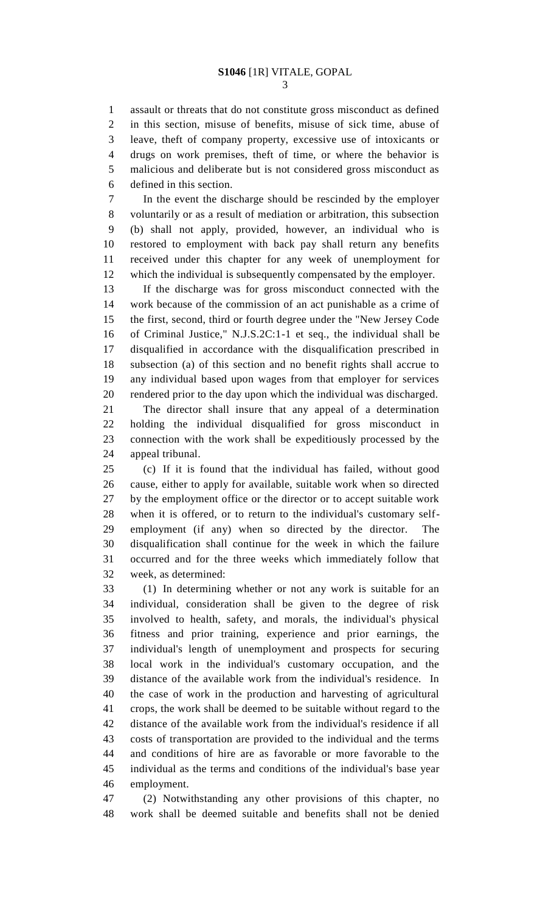assault or threats that do not constitute gross misconduct as defined in this section, misuse of benefits, misuse of sick time, abuse of leave, theft of company property, excessive use of intoxicants or drugs on work premises, theft of time, or where the behavior is malicious and deliberate but is not considered gross misconduct as defined in this section.

 In the event the discharge should be rescinded by the employer voluntarily or as a result of mediation or arbitration, this subsection (b) shall not apply, provided, however, an individual who is restored to employment with back pay shall return any benefits received under this chapter for any week of unemployment for which the individual is subsequently compensated by the employer.

 If the discharge was for gross misconduct connected with the work because of the commission of an act punishable as a crime of the first, second, third or fourth degree under the "New Jersey Code of Criminal Justice," N.J.S.2C:1-1 et seq., the individual shall be disqualified in accordance with the disqualification prescribed in subsection (a) of this section and no benefit rights shall accrue to any individual based upon wages from that employer for services rendered prior to the day upon which the individual was discharged.

 The director shall insure that any appeal of a determination holding the individual disqualified for gross misconduct in connection with the work shall be expeditiously processed by the appeal tribunal.

 (c) If it is found that the individual has failed, without good cause, either to apply for available, suitable work when so directed by the employment office or the director or to accept suitable work when it is offered, or to return to the individual's customary self- employment (if any) when so directed by the director. The disqualification shall continue for the week in which the failure occurred and for the three weeks which immediately follow that week, as determined:

 (1) In determining whether or not any work is suitable for an individual, consideration shall be given to the degree of risk involved to health, safety, and morals, the individual's physical fitness and prior training, experience and prior earnings, the individual's length of unemployment and prospects for securing local work in the individual's customary occupation, and the distance of the available work from the individual's residence. In the case of work in the production and harvesting of agricultural crops, the work shall be deemed to be suitable without regard to the distance of the available work from the individual's residence if all costs of transportation are provided to the individual and the terms and conditions of hire are as favorable or more favorable to the individual as the terms and conditions of the individual's base year employment.

 (2) Notwithstanding any other provisions of this chapter, no work shall be deemed suitable and benefits shall not be denied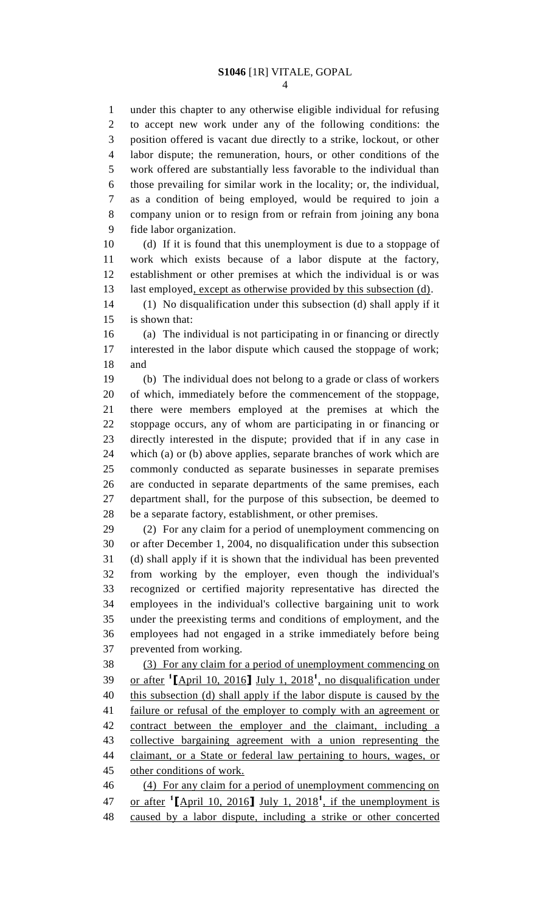under this chapter to any otherwise eligible individual for refusing to accept new work under any of the following conditions: the position offered is vacant due directly to a strike, lockout, or other labor dispute; the remuneration, hours, or other conditions of the work offered are substantially less favorable to the individual than those prevailing for similar work in the locality; or, the individual, as a condition of being employed, would be required to join a company union or to resign from or refrain from joining any bona fide labor organization.

 (d) If it is found that this unemployment is due to a stoppage of work which exists because of a labor dispute at the factory, establishment or other premises at which the individual is or was 13 last employed, except as otherwise provided by this subsection (d).

 (1) No disqualification under this subsection (d) shall apply if it is shown that:

 (a) The individual is not participating in or financing or directly interested in the labor dispute which caused the stoppage of work; and

 (b) The individual does not belong to a grade or class of workers of which, immediately before the commencement of the stoppage, there were members employed at the premises at which the stoppage occurs, any of whom are participating in or financing or directly interested in the dispute; provided that if in any case in which (a) or (b) above applies, separate branches of work which are commonly conducted as separate businesses in separate premises are conducted in separate departments of the same premises, each department shall, for the purpose of this subsection, be deemed to be a separate factory, establishment, or other premises.

 (2) For any claim for a period of unemployment commencing on or after December 1, 2004, no disqualification under this subsection (d) shall apply if it is shown that the individual has been prevented from working by the employer, even though the individual's recognized or certified majority representative has directed the employees in the individual's collective bargaining unit to work under the preexisting terms and conditions of employment, and the employees had not engaged in a strike immediately before being prevented from working.

 (3) For any claim for a period of unemployment commencing on or after **<sup>1</sup> [**April 10, 2016**]** July 1, 2018**<sup>1</sup>** , no disqualification under this subsection (d) shall apply if the labor dispute is caused by the failure or refusal of the employer to comply with an agreement or contract between the employer and the claimant, including a collective bargaining agreement with a union representing the 44 claimant, or a State or federal law pertaining to hours, wages, or other conditions of work.

 (4) For any claim for a period of unemployment commencing on 47 or after  $\left[\frac{[A\text{pri}]}{[A\text{pri}]} \right]$  10, 2016<sup> $\left[\frac{[A\text{pri}]}{[A\text{pri}]} \right]$ , if the unemployment is</sup> caused by a labor dispute, including a strike or other concerted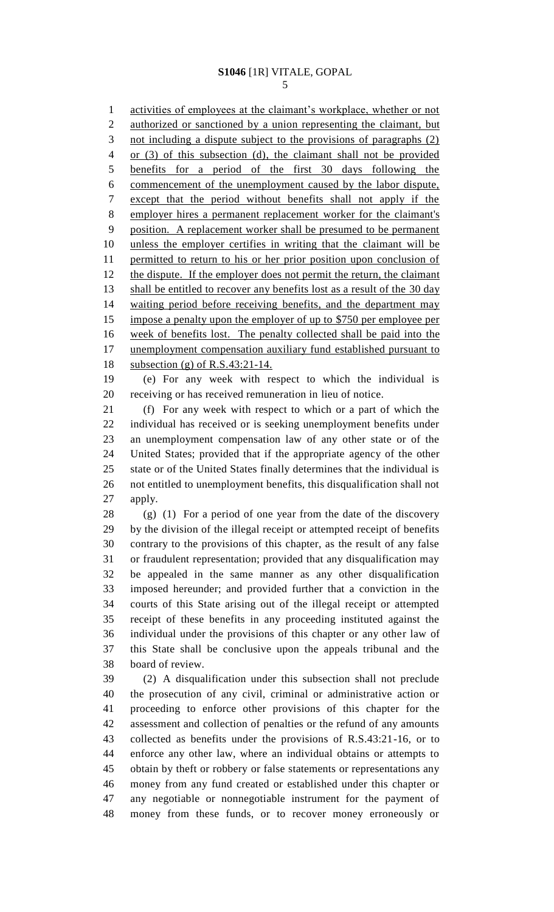### **S1046** [1R] VITALE, GOPAL

 activities of employees at the claimant's workplace, whether or not authorized or sanctioned by a union representing the claimant, but 3 not including a dispute subject to the provisions of paragraphs (2) or (3) of this subsection (d), the claimant shall not be provided benefits for a period of the first 30 days following the commencement of the unemployment caused by the labor dispute, except that the period without benefits shall not apply if the employer hires a permanent replacement worker for the claimant's position. A replacement worker shall be presumed to be permanent unless the employer certifies in writing that the claimant will be permitted to return to his or her prior position upon conclusion of 12 the dispute. If the employer does not permit the return, the claimant 13 shall be entitled to recover any benefits lost as a result of the 30 day waiting period before receiving benefits, and the department may impose a penalty upon the employer of up to \$750 per employee per week of benefits lost. The penalty collected shall be paid into the 17 unemployment compensation auxiliary fund established pursuant to subsection (g) of R.S.43:21-14. (e) For any week with respect to which the individual is receiving or has received remuneration in lieu of notice. (f) For any week with respect to which or a part of which the individual has received or is seeking unemployment benefits under an unemployment compensation law of any other state or of the United States; provided that if the appropriate agency of the other state or of the United States finally determines that the individual is not entitled to unemployment benefits, this disqualification shall not apply. (g) (1) For a period of one year from the date of the discovery by the division of the illegal receipt or attempted receipt of benefits contrary to the provisions of this chapter, as the result of any false or fraudulent representation; provided that any disqualification may be appealed in the same manner as any other disqualification imposed hereunder; and provided further that a conviction in the courts of this State arising out of the illegal receipt or attempted receipt of these benefits in any proceeding instituted against the individual under the provisions of this chapter or any other law of this State shall be conclusive upon the appeals tribunal and the board of review. (2) A disqualification under this subsection shall not preclude the prosecution of any civil, criminal or administrative action or proceeding to enforce other provisions of this chapter for the assessment and collection of penalties or the refund of any amounts collected as benefits under the provisions of R.S.43:21-16, or to enforce any other law, where an individual obtains or attempts to

 obtain by theft or robbery or false statements or representations any money from any fund created or established under this chapter or any negotiable or nonnegotiable instrument for the payment of money from these funds, or to recover money erroneously or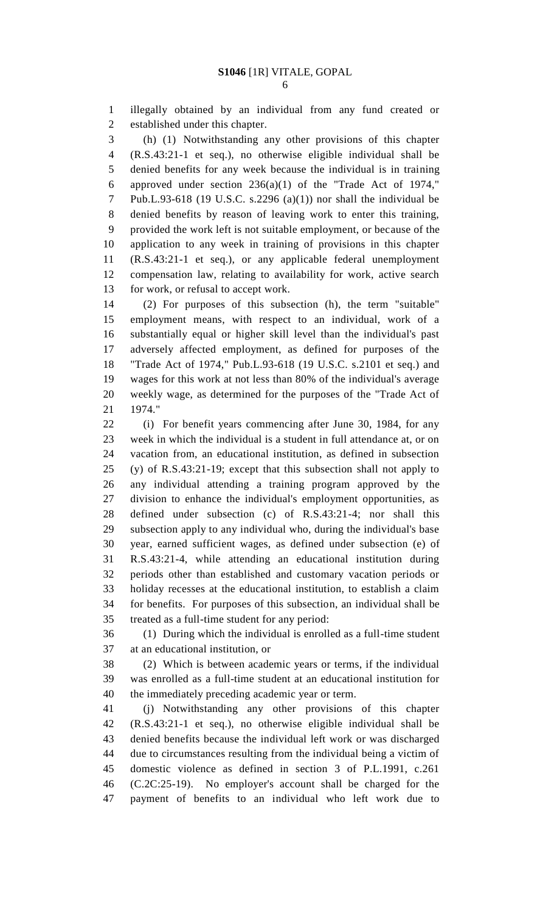illegally obtained by an individual from any fund created or established under this chapter.

 (h) (1) Notwithstanding any other provisions of this chapter (R.S.43:21-1 et seq.), no otherwise eligible individual shall be denied benefits for any week because the individual is in training approved under section 236(a)(1) of the "Trade Act of 1974," Pub.L.93-618 (19 U.S.C. s.2296 (a)(1)) nor shall the individual be denied benefits by reason of leaving work to enter this training, provided the work left is not suitable employment, or because of the application to any week in training of provisions in this chapter (R.S.43:21-1 et seq.), or any applicable federal unemployment compensation law, relating to availability for work, active search for work, or refusal to accept work.

 (2) For purposes of this subsection (h), the term "suitable" employment means, with respect to an individual, work of a substantially equal or higher skill level than the individual's past adversely affected employment, as defined for purposes of the "Trade Act of 1974," Pub.L.93-618 (19 U.S.C. s.2101 et seq.) and wages for this work at not less than 80% of the individual's average weekly wage, as determined for the purposes of the "Trade Act of 1974."

 (i) For benefit years commencing after June 30, 1984, for any week in which the individual is a student in full attendance at, or on vacation from, an educational institution, as defined in subsection (y) of R.S.43:21-19; except that this subsection shall not apply to any individual attending a training program approved by the division to enhance the individual's employment opportunities, as defined under subsection (c) of R.S.43:21-4; nor shall this subsection apply to any individual who, during the individual's base year, earned sufficient wages, as defined under subsection (e) of R.S.43:21-4, while attending an educational institution during periods other than established and customary vacation periods or holiday recesses at the educational institution, to establish a claim for benefits. For purposes of this subsection, an individual shall be treated as a full-time student for any period:

 (1) During which the individual is enrolled as a full-time student at an educational institution, or

 (2) Which is between academic years or terms, if the individual was enrolled as a full-time student at an educational institution for the immediately preceding academic year or term.

 (j) Notwithstanding any other provisions of this chapter (R.S.43:21-1 et seq.), no otherwise eligible individual shall be denied benefits because the individual left work or was discharged due to circumstances resulting from the individual being a victim of domestic violence as defined in section 3 of P.L.1991, c.261 (C.2C:25-19). No employer's account shall be charged for the payment of benefits to an individual who left work due to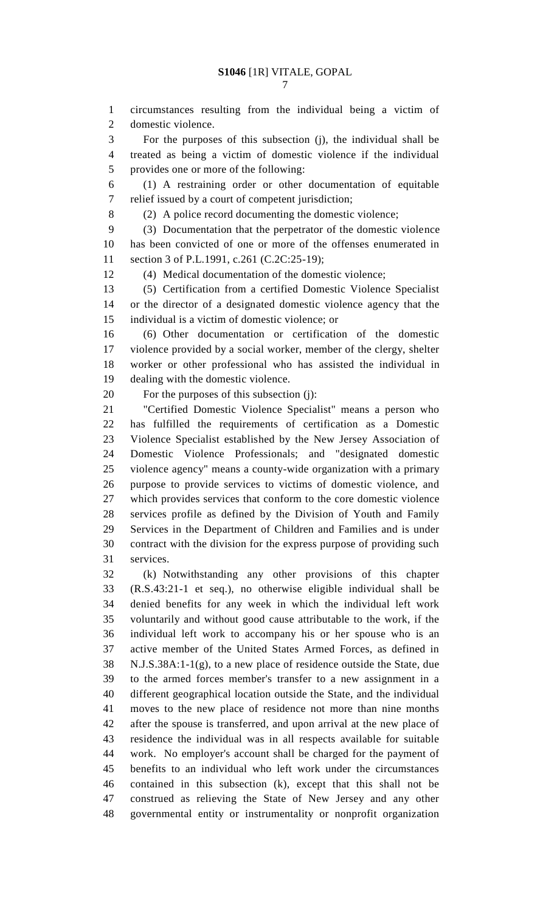circumstances resulting from the individual being a victim of domestic violence.

 For the purposes of this subsection (j), the individual shall be treated as being a victim of domestic violence if the individual provides one or more of the following:

 (1) A restraining order or other documentation of equitable relief issued by a court of competent jurisdiction;

(2) A police record documenting the domestic violence;

 (3) Documentation that the perpetrator of the domestic violence has been convicted of one or more of the offenses enumerated in section 3 of P.L.1991, c.261 (C.2C:25-19);

(4) Medical documentation of the domestic violence;

 (5) Certification from a certified Domestic Violence Specialist or the director of a designated domestic violence agency that the individual is a victim of domestic violence; or

 (6) Other documentation or certification of the domestic violence provided by a social worker, member of the clergy, shelter worker or other professional who has assisted the individual in dealing with the domestic violence.

For the purposes of this subsection (j):

 "Certified Domestic Violence Specialist" means a person who has fulfilled the requirements of certification as a Domestic Violence Specialist established by the New Jersey Association of Domestic Violence Professionals; and "designated domestic violence agency" means a county-wide organization with a primary purpose to provide services to victims of domestic violence, and which provides services that conform to the core domestic violence services profile as defined by the Division of Youth and Family Services in the Department of Children and Families and is under contract with the division for the express purpose of providing such services.

 (k) Notwithstanding any other provisions of this chapter (R.S.43:21-1 et seq.), no otherwise eligible individual shall be denied benefits for any week in which the individual left work voluntarily and without good cause attributable to the work, if the individual left work to accompany his or her spouse who is an active member of the United States Armed Forces, as defined in N.J.S.38A:1-1(g), to a new place of residence outside the State, due to the armed forces member's transfer to a new assignment in a different geographical location outside the State, and the individual moves to the new place of residence not more than nine months after the spouse is transferred, and upon arrival at the new place of residence the individual was in all respects available for suitable work. No employer's account shall be charged for the payment of benefits to an individual who left work under the circumstances contained in this subsection (k), except that this shall not be construed as relieving the State of New Jersey and any other governmental entity or instrumentality or nonprofit organization